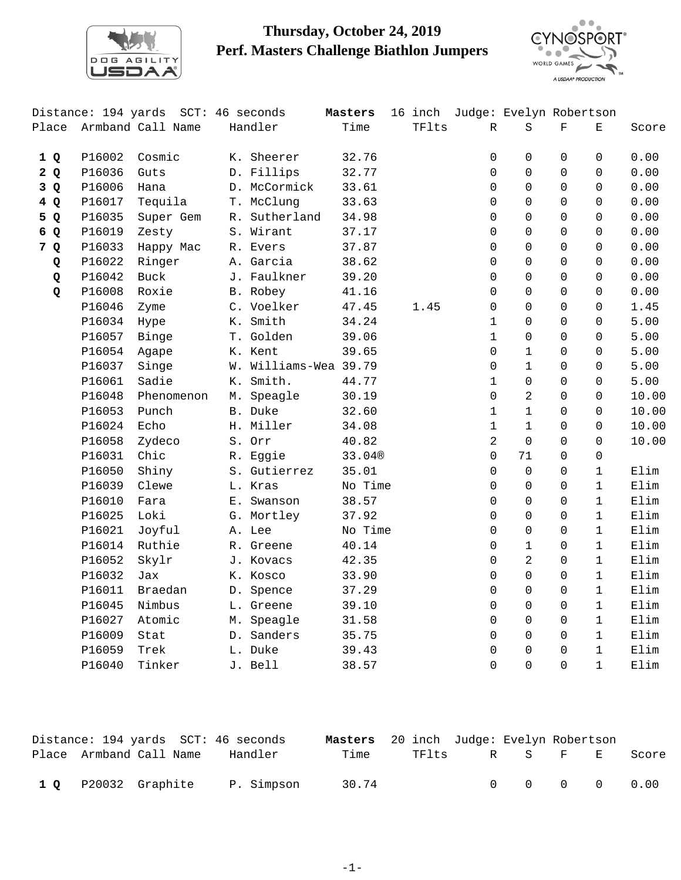

## **Thursday, October 24, 2019 Perf. Masters Challenge Biathlon Jumpers**



|              | Distance: 194 yards |                   |    | SCT: 46 seconds       | Masters | 16 inch |                | Judge: Evelyn Robertson |             |              |       |
|--------------|---------------------|-------------------|----|-----------------------|---------|---------|----------------|-------------------------|-------------|--------------|-------|
| Place        |                     | Armband Call Name |    | Handler               | Time    | TFlts   | R              | S                       | $\mathbf F$ | Е            | Score |
| 1Q           | P16002              | Cosmic            |    | K. Sheerer            | 32.76   |         | 0              | $\mathbf 0$             | 0           | $\mathbf 0$  | 0.00  |
| 2Q           | P16036              | Guts              |    | D. Fillips            | 32.77   |         | 0              | $\Omega$                | $\Omega$    | $\Omega$     | 0.00  |
| 3 Q          | P16006              | Hana              |    | D. McCormick          | 33.61   |         | 0              | $\Omega$                | $\Omega$    | $\Omega$     | 0.00  |
| 4Q           | P16017              | Tequila           |    | T. McClung            | 33.63   |         | 0              | $\Omega$                | $\Omega$    | $\Omega$     | 0.00  |
| 5 Q          | P16035              | Super Gem         |    | R. Sutherland         | 34.98   |         | 0              | $\Omega$                | $\Omega$    | $\Omega$     | 0.00  |
| 6 Q          | P16019              | Zesty             |    | S. Wirant             | 37.17   |         | $\Omega$       | $\Omega$                | $\Omega$    | $\Omega$     | 0.00  |
| 7 Q          | P16033              | Happy Mac         |    | R. Evers              | 37.87   |         | $\Omega$       | $\Omega$                | $\Omega$    | $\Omega$     | 0.00  |
| Q            | P16022              | Ringer            |    | A. Garcia             | 38.62   |         | $\Omega$       | $\Omega$                | $\Omega$    | $\Omega$     | 0.00  |
| Q            | P16042              | <b>Buck</b>       |    | J. Faulkner           | 39.20   |         | $\Omega$       | $\Omega$                | $\Omega$    | $\Omega$     | 0.00  |
| $\mathbf{Q}$ | P16008              | Roxie             |    | B. Robey              | 41.16   |         | $\Omega$       | $\Omega$                | $\Omega$    | $\Omega$     | 0.00  |
|              | P16046              | Zyme              |    | C. Voelker            | 47.45   | 1.45    | 0              | $\Omega$                | $\Omega$    | $\Omega$     | 1.45  |
|              | P16034              | Hype              |    | K. Smith              | 34.24   |         | 1              | $\Omega$                | $\Omega$    | $\Omega$     | 5.00  |
|              | P16057              | Binge             |    | T. Golden             | 39.06   |         | 1              | $\mathbf 0$             | $\Omega$    | $\Omega$     | 5.00  |
|              | P16054              | Agape             |    | K. Kent               | 39.65   |         | $\Omega$       | $\mathbf{1}$            | $\Omega$    | $\Omega$     | 5.00  |
|              | P16037              | Singe             |    | W. Williams-Wea 39.79 |         |         | $\Omega$       | $\mathbf{1}$            | 0           | $\Omega$     | 5.00  |
|              | P16061              | Sadie             | К. | Smith.                | 44.77   |         | 1              | $\mathbf 0$             | 0           | $\Omega$     | 5.00  |
|              | P16048              | Phenomenon        |    | M. Speagle            | 30.19   |         | $\Omega$       | 2                       | 0           | $\Omega$     | 10.00 |
|              | P16053              | Punch             |    | B. Duke               | 32.60   |         | 1              | $\mathbf{1}$            | 0           | $\Omega$     | 10.00 |
|              | P16024              | Echo              |    | H. Miller             | 34.08   |         | 1              | $\mathbf{1}$            | 0           | $\Omega$     | 10.00 |
|              | P16058              | Zydeco            |    | S. Orr                | 40.82   |         | $\overline{a}$ | $\Omega$                | 0           | $\mathbf 0$  | 10.00 |
|              | P16031              | Chic              |    | R. Eggie              | 33.04®  |         | $\Omega$       | 71                      | 0           | $\mathbf 0$  |       |
|              | P16050              | Shiny             |    | S. Gutierrez          | 35.01   |         | $\Omega$       | $\mathbf 0$             | 0           | $\mathbf{1}$ | Elim  |
|              | P16039              | Clewe             |    | L. Kras               | No Time |         | $\Omega$       | $\mathbf 0$             | 0           | $\mathbf{1}$ | Elim  |
|              | P16010              | Fara              |    | E. Swanson            | 38.57   |         | $\Omega$       | $\Omega$                | 0           | $\mathbf{1}$ | Elim  |
|              | P16025              | Loki              |    | G. Mortley            | 37.92   |         | $\Omega$       | $\Omega$                | 0           | $\mathbf{1}$ | Elim  |
|              | P16021              | Joyful            |    | A. Lee                | No Time |         | 0              | $\mathbf 0$             | 0           | $\mathbf{1}$ | Elim  |
|              | P16014              | Ruthie            |    | R. Greene             | 40.14   |         | 0              | $\mathbf{1}$            | $\Omega$    | $\mathbf{1}$ | Elim  |
|              | P16052              | Skylr             |    | J. Kovacs             | 42.35   |         | 0              | $\overline{2}$          | $\Omega$    | $\mathbf{1}$ | Elim  |
|              | P16032              | Jax               |    | K. Kosco              | 33.90   |         | 0              | $\Omega$                | $\Omega$    | $\mathbf{1}$ | Elim  |
|              | P16011              | Braedan           |    | D. Spence             | 37.29   |         | 0              | $\Omega$                | $\Omega$    | $\mathbf{1}$ | Elim  |
|              | P16045              | Nimbus            |    | L. Greene             | 39.10   |         | 0              | $\Omega$                | $\Omega$    | $\mathbf{1}$ | Elim  |
|              | P16027              | Atomic            |    | M. Speagle            | 31.58   |         | 0              | $\mathbf 0$             | $\Omega$    | $\mathbf{1}$ | Elim  |
|              | P16009              | Stat              |    | D. Sanders            | 35.75   |         | 0              | $\mathbf 0$             | $\Omega$    | $\mathbf{1}$ | Elim  |
|              | P16059              | Trek              |    | L. Duke               | 39.43   |         | 0              | $\Omega$                | $\Omega$    | $\mathbf{1}$ | Elim  |
|              | P16040              | Tinker            |    | J. Bell               | 38.57   |         | $\Omega$       | $\Omega$                | $\Omega$    | $\mathbf{1}$ | Elim  |

|  | Distance: 194 yards SCT: 46 seconds |            | <b>Masters</b> 20 inch Judge: Evelyn Robertson |               |                            |  |       |
|--|-------------------------------------|------------|------------------------------------------------|---------------|----------------------------|--|-------|
|  | Place Armband Call Name             | Handler    | Time                                           | TFlts R S F E |                            |  | Score |
|  | 1 Q P20032 Graphite                 | P. Simpson | 30.74                                          |               | $0 \t 0 \t 0 \t 0 \t 0.00$ |  |       |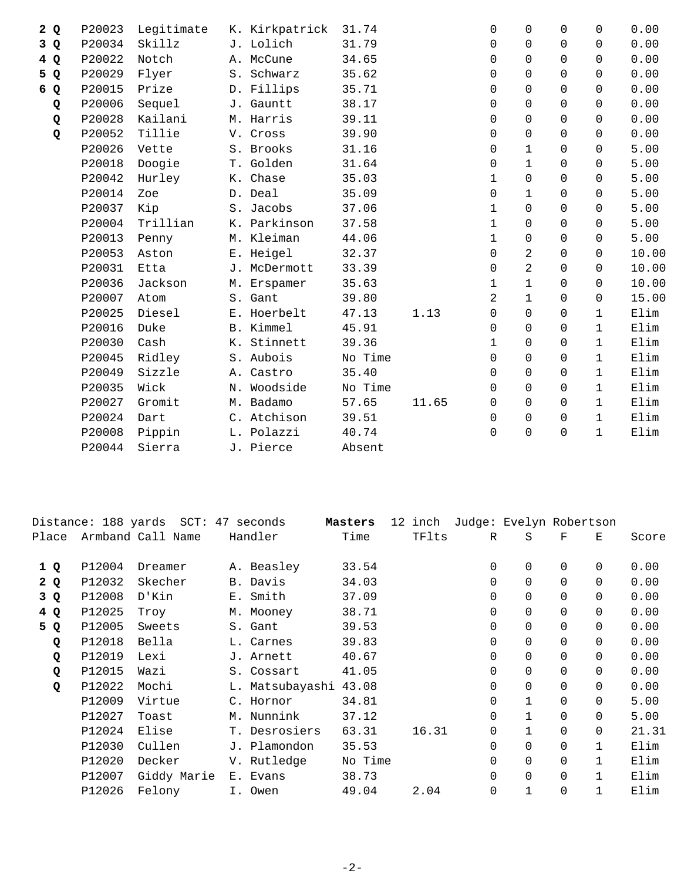| P20023 | Legitimate |  | 31.74                                                                                                                                                                                                                                                                                                                                                                                                    |       | $\Omega$     | $\Omega$       | $\Omega$ | $\Omega$     | 0.00  |
|--------|------------|--|----------------------------------------------------------------------------------------------------------------------------------------------------------------------------------------------------------------------------------------------------------------------------------------------------------------------------------------------------------------------------------------------------------|-------|--------------|----------------|----------|--------------|-------|
| P20034 | Skillz     |  | 31.79                                                                                                                                                                                                                                                                                                                                                                                                    |       | 0            | $\mathbf 0$    | $\Omega$ | $\Omega$     | 0.00  |
| P20022 | Notch      |  | 34.65                                                                                                                                                                                                                                                                                                                                                                                                    |       | $\Omega$     | $\Omega$       | $\Omega$ | $\Omega$     | 0.00  |
| P20029 | Flyer      |  | 35.62                                                                                                                                                                                                                                                                                                                                                                                                    |       | 0            | $\Omega$       | $\Omega$ | $\Omega$     | 0.00  |
| P20015 | Prize      |  | 35.71                                                                                                                                                                                                                                                                                                                                                                                                    |       | 0            | $\Omega$       | $\Omega$ | $\Omega$     | 0.00  |
| P20006 | Sequel     |  | 38.17                                                                                                                                                                                                                                                                                                                                                                                                    |       | 0            | $\Omega$       | $\Omega$ | $\Omega$     | 0.00  |
| P20028 | Kailani    |  | 39.11                                                                                                                                                                                                                                                                                                                                                                                                    |       | 0            | $\mathbf 0$    | $\Omega$ | $\Omega$     | 0.00  |
| P20052 | Tillie     |  | 39.90                                                                                                                                                                                                                                                                                                                                                                                                    |       | 0            | $\Omega$       | $\Omega$ | $\Omega$     | 0.00  |
| P20026 | Vette      |  | 31.16                                                                                                                                                                                                                                                                                                                                                                                                    |       | 0            | $\mathbf{1}$   | $\Omega$ | $\Omega$     | 5.00  |
| P20018 | Doogie     |  | 31.64                                                                                                                                                                                                                                                                                                                                                                                                    |       | 0            | $\mathbf{1}$   | $\Omega$ | $\Omega$     | 5.00  |
| P20042 | Hurley     |  | 35.03                                                                                                                                                                                                                                                                                                                                                                                                    |       | 1            | $\mathsf{O}$   | $\Omega$ | $\Omega$     | 5.00  |
| P20014 | Zoe        |  | 35.09                                                                                                                                                                                                                                                                                                                                                                                                    |       | 0            | $\mathbf{1}$   | $\Omega$ | $\Omega$     | 5.00  |
| P20037 | Kip        |  | 37.06                                                                                                                                                                                                                                                                                                                                                                                                    |       | 1            | $\Omega$       | $\Omega$ | $\Omega$     | 5.00  |
| P20004 | Trillian   |  | 37.58                                                                                                                                                                                                                                                                                                                                                                                                    |       | $\mathbf{1}$ | $\Omega$       | $\Omega$ | $\Omega$     | 5.00  |
| P20013 | Penny      |  | 44.06                                                                                                                                                                                                                                                                                                                                                                                                    |       | $\mathbf 1$  | $\Omega$       | $\Omega$ | $\Omega$     | 5.00  |
| P20053 | Aston      |  | 32.37                                                                                                                                                                                                                                                                                                                                                                                                    |       | 0            | $\overline{2}$ | $\Omega$ | $\Omega$     | 10.00 |
| P20031 | Etta       |  | 33.39                                                                                                                                                                                                                                                                                                                                                                                                    |       | 0            | 2              | $\Omega$ | $\Omega$     | 10.00 |
| P20036 | Jackson    |  | 35.63                                                                                                                                                                                                                                                                                                                                                                                                    |       | 1            | $\mathbf 1$    | $\Omega$ | $\Omega$     | 10.00 |
| P20007 | Atom       |  | 39.80                                                                                                                                                                                                                                                                                                                                                                                                    |       | 2            | $\mathbf{1}$   | $\Omega$ | $\Omega$     | 15.00 |
| P20025 | Diesel     |  | 47.13                                                                                                                                                                                                                                                                                                                                                                                                    | 1.13  | $\Omega$     | $\Omega$       | $\Omega$ | $\mathbf{1}$ | Elim  |
| P20016 | Duke       |  | 45.91                                                                                                                                                                                                                                                                                                                                                                                                    |       | 0            | $\mathbf 0$    | $\Omega$ | $\mathbf{1}$ | Elim  |
| P20030 | Cash       |  | 39.36                                                                                                                                                                                                                                                                                                                                                                                                    |       | 1            | $\Omega$       | $\Omega$ | $\mathbf{1}$ | Elim  |
| P20045 | Ridley     |  | No Time                                                                                                                                                                                                                                                                                                                                                                                                  |       | 0            | $\Omega$       | 0        | $\mathbf{1}$ | Elim  |
| P20049 | Sizzle     |  | 35.40                                                                                                                                                                                                                                                                                                                                                                                                    |       | $\Omega$     | $\Omega$       | $\Omega$ | $\mathbf{1}$ | Elim  |
| P20035 | Wick       |  | No Time                                                                                                                                                                                                                                                                                                                                                                                                  |       | 0            | $\Omega$       | $\Omega$ | $\mathbf{1}$ | Elim  |
| P20027 | Gromit     |  | 57.65                                                                                                                                                                                                                                                                                                                                                                                                    | 11.65 | 0            | $\mathbf 0$    | $\Omega$ | $\mathbf{1}$ | Elim  |
| P20024 | Dart       |  | 39.51                                                                                                                                                                                                                                                                                                                                                                                                    |       | $\Omega$     | $\mathbf 0$    | 0        | $\mathbf{1}$ | Elim  |
| P20008 | Pippin     |  | 40.74                                                                                                                                                                                                                                                                                                                                                                                                    |       | 0            | 0              | $\Omega$ | $\mathbf{1}$ | Elim  |
| P20044 | Sierra     |  | Absent                                                                                                                                                                                                                                                                                                                                                                                                   |       |              |                |          |              |       |
|        |            |  | K. Kirkpatrick<br>J. Lolich<br>A. McCune<br>S. Schwarz<br>D. Fillips<br>J. Gauntt<br>M. Harris<br>V. Cross<br>S. Brooks<br>T. Golden<br>K. Chase<br>D. Deal<br>S. Jacobs<br>K. Parkinson<br>M. Kleiman<br>E. Heigel<br>J. McDermott<br>M. Erspamer<br>S. Gant<br>E. Hoerbelt<br>B. Kimmel<br>K. Stinnett<br>S. Aubois<br>A. Castro<br>N. Woodside<br>M. Badamo<br>C. Atchison<br>L. Polazzi<br>J. Pierce |       |              |                |          |              |       |

|       |        | Distance: 188 yards SCT: 47 seconds |    |                 | Masters | 12 | inch  |             | Judge: Evelyn Robertson |          |          |       |
|-------|--------|-------------------------------------|----|-----------------|---------|----|-------|-------------|-------------------------|----------|----------|-------|
| Place |        | Armband Call Name                   |    | Handler         | Time    |    | TFlts | R           | S                       | F        | Е        | Score |
| 1 Q   | P12004 | Dreamer                             |    | A. Beasley      | 33.54   |    |       | $\mathbf 0$ | $\Omega$                | $\Omega$ | $\Omega$ | 0.00  |
| 2Q    | P12032 | Skecher                             |    | B. Davis        | 34.03   |    |       | $\Omega$    | $\Omega$                | $\Omega$ | $\Omega$ | 0.00  |
| 3 Q   | P12008 | D'Kin                               |    | E. Smith        | 37.09   |    |       | 0           | $\Omega$                | $\Omega$ | $\Omega$ | 0.00  |
| 4 Q   | P12025 | Troy                                |    | M. Mooney       | 38.71   |    |       | $\mathbf 0$ | $\Omega$                | $\Omega$ | $\Omega$ | 0.00  |
| 5 Q   | P12005 | Sweets                              |    | S. Gant         | 39.53   |    |       | $\Omega$    | $\Omega$                | $\Omega$ | $\Omega$ | 0.00  |
| Q     | P12018 | Bella                               |    | L. Carnes       | 39.83   |    |       | $\mathbf 0$ | $\Omega$                | $\Omega$ | $\Omega$ | 0.00  |
| Q     | P12019 | Lexi                                |    | J. Arnett       | 40.67   |    |       | 0           | $\Omega$                | $\Omega$ | $\Omega$ | 0.00  |
| Q     | P12015 | Wazi                                |    | S. Cossart      | 41.05   |    |       | $\Omega$    | $\Omega$                | $\Omega$ | $\Omega$ | 0.00  |
| Q     | P12022 | Mochi                               |    | L. Matsubayashi | 43.08   |    |       | $\Omega$    | $\Omega$                | $\Omega$ | $\Omega$ | 0.00  |
|       | P12009 | Virtue                              |    | C. Hornor       | 34.81   |    |       | $\Omega$    | $\mathbf{1}$            | $\Omega$ | $\Omega$ | 5.00  |
|       | P12027 | Toast                               |    | M. Nunnink      | 37.12   |    |       | $\Omega$    | $\mathbf{1}$            | $\Omega$ | $\Omega$ | 5.00  |
|       | P12024 | Elise                               | Т. | Desrosiers      | 63.31   |    | 16.31 | $\Omega$    | $\mathbf 1$             | $\Omega$ | $\Omega$ | 21.31 |
|       | P12030 | Cullen                              |    | J. Plamondon    | 35.53   |    |       | $\Omega$    | $\Omega$                | $\Omega$ |          | Elim  |
|       | P12020 | Decker                              |    | V. Rutledge     | No Time |    |       | $\mathbf 0$ | $\Omega$                | $\Omega$ |          | Elim  |
|       | P12007 | Giddy Marie                         |    | E. Evans        | 38.73   |    |       | $\Omega$    | $\Omega$                | $\Omega$ |          | Elim  |
|       | P12026 | Felony                              |    | I. Owen         | 49.04   |    | 2.04  | 0           | $\mathbf 1$             | 0        |          | Elim  |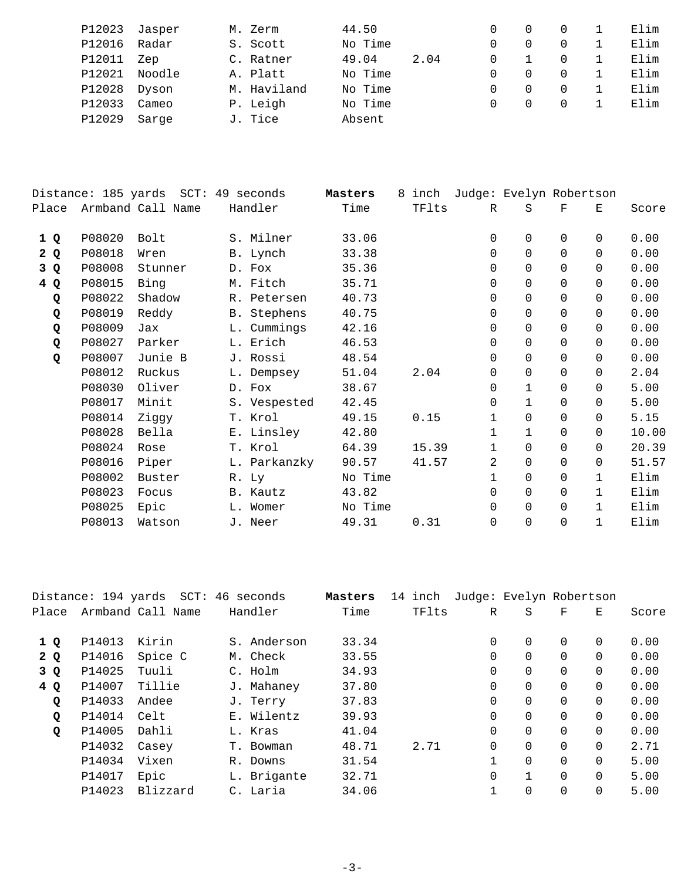| P12023 | Jasper | M. Zerm     | 44.50   |      |          |          | Elim |
|--------|--------|-------------|---------|------|----------|----------|------|
| P12016 | Radar  | S. Scott    | No Time |      | $\Omega$ | 0        | Elim |
| P12011 | Zep    | C. Ratner   | 49.04   | 2.04 | $\Omega$ | 0        | Elim |
| P12021 | Noodle | A. Platt    | No Time |      | $\Omega$ | $\Omega$ | Elim |
| P12028 | Dyson  | M. Haviland | No Time |      | $\cap$   | $\Omega$ | Elim |
| P12033 | Cameo  | P. Leigh    | No Time |      | 0        | 0        | Elim |
| P12029 | Sarge  | J. Tice     | Absent  |      |          |          |      |

|       |        | Distance: 185 yards SCT: 49 seconds |              | Masters | 8 | inch  |          | Judge: Evelyn Robertson |          |              |       |
|-------|--------|-------------------------------------|--------------|---------|---|-------|----------|-------------------------|----------|--------------|-------|
| Place |        | Armband Call Name                   | Handler      | Time    |   | TFlts | R        | S                       | F        | Е            | Score |
| 1Q    | P08020 | Bolt                                | S. Milner    | 33.06   |   |       | 0        | $\Omega$                | $\Omega$ | $\Omega$     | 0.00  |
| 2 Q   | P08018 | Wren                                | B. Lynch     | 33.38   |   |       | $\Omega$ | $\Omega$                | $\Omega$ | $\Omega$     | 0.00  |
| 3 Q   | P08008 | Stunner                             | D. Fox       | 35.36   |   |       | $\Omega$ | $\Omega$                | $\Omega$ | $\Omega$     | 0.00  |
| 4Q    | P08015 | Bing                                | M. Fitch     | 35.71   |   |       | $\Omega$ | $\Omega$                | $\Omega$ | $\Omega$     | 0.00  |
| Q     | P08022 | Shadow                              | R. Petersen  | 40.73   |   |       | $\Omega$ | $\Omega$                | $\Omega$ | $\Omega$     | 0.00  |
| Q     | P08019 | Reddy                               | B. Stephens  | 40.75   |   |       | $\Omega$ | $\Omega$                | $\Omega$ | $\Omega$     | 0.00  |
| Q     | P08009 | Jax                                 | L. Cummings  | 42.16   |   |       | $\Omega$ | $\Omega$                | $\Omega$ | $\Omega$     | 0.00  |
| Q     | P08027 | Parker                              | L. Erich     | 46.53   |   |       | 0        | $\Omega$                | $\Omega$ | $\Omega$     | 0.00  |
| Q     | P08007 | Junie B                             | J. Rossi     | 48.54   |   |       | $\Omega$ | $\Omega$                | $\Omega$ | $\Omega$     | 0.00  |
|       | P08012 | Ruckus                              | L. Dempsey   | 51.04   |   | 2.04  | $\Omega$ | $\Omega$                | $\Omega$ | $\Omega$     | 2.04  |
|       | P08030 | Oliver                              | D. Fox       | 38.67   |   |       | 0        | $\mathbf 1$             | $\Omega$ | $\Omega$     | 5.00  |
|       | P08017 | Minit                               | S. Vespested | 42.45   |   |       | $\Omega$ | $\mathbf{1}$            | $\Omega$ | $\Omega$     | 5.00  |
|       | P08014 | Ziggy                               | T. Krol      | 49.15   |   | 0.15  | 1        | $\Omega$                | $\Omega$ | $\Omega$     | 5.15  |
|       | P08028 | Bella                               | E. Linsley   | 42.80   |   |       | 1        | $\mathbf{1}$            | $\Omega$ | $\Omega$     | 10.00 |
|       | P08024 | Rose                                | T. Krol      | 64.39   |   | 15.39 | 1        | $\Omega$                | $\Omega$ | $\Omega$     | 20.39 |
|       | P08016 | Piper                               | L. Parkanzky | 90.57   |   | 41.57 | 2        | $\Omega$                | $\Omega$ | $\Omega$     | 51.57 |
|       | P08002 | Buster                              | R. Ly        | No Time |   |       | 1        | $\Omega$                | $\Omega$ | $\mathbf{1}$ | Elim  |
|       | P08023 | Focus                               | B. Kautz     | 43.82   |   |       | $\Omega$ | $\Omega$                | $\Omega$ | $\mathbf{1}$ | Elim  |
|       | P08025 | Epic                                | L. Womer     | No Time |   |       | $\Omega$ | $\mathbf 0$             | $\Omega$ | 1            | Elim  |
|       | P08013 | Watson                              | J. Neer      | 49.31   |   | 0.31  | 0        | $\Omega$                | 0        | $\mathbf{1}$ | Elim  |
|       |        |                                     |              |         |   |       |          |                         |          |              |       |

|       |        | Distance: 194 yards SCT: 46 seconds |             | Masters | 14 inch | Judge: Evelyn Robertson |                |          |          |       |
|-------|--------|-------------------------------------|-------------|---------|---------|-------------------------|----------------|----------|----------|-------|
| Place |        | Armband Call Name                   | Handler     | Time    | TFlts   | $\mathbb{R}$            | S              | F        | Е        | Score |
| 1Q    | P14013 | Kirin                               | S. Anderson | 33.34   |         | 0                       | $\Omega$       | $\Omega$ | $\Omega$ | 0.00  |
| 2 Q   | P14016 | Spice C                             | M. Check    | 33.55   |         | 0                       | $\Omega$       | $\Omega$ | $\Omega$ | 0.00  |
| 3 Q   | P14025 | Tuuli                               | C. Holm     | 34.93   |         | 0                       | 0              | $\Omega$ | $\Omega$ | 0.00  |
| 4Q    | P14007 | Tillie                              | J. Mahaney  | 37.80   |         | 0                       | $\Omega$       | $\Omega$ | $\Omega$ | 0.00  |
| Q     | P14033 | Andee                               | J. Terry    | 37.83   |         | 0                       | $\Omega$       | $\Omega$ | $\Omega$ | 0.00  |
| Q     | P14014 | Celt                                | E. Wilentz  | 39.93   |         | 0                       | $\Omega$       | $\Omega$ | $\Omega$ | 0.00  |
| Q     | P14005 | Dahli                               | L. Kras     | 41.04   |         | $\mathbf 0$             | $\overline{0}$ | $\Omega$ | $\Omega$ | 0.00  |
|       | P14032 | Casey                               | T. Bowman   | 48.71   | 2.71    | $\Omega$                | $\Omega$       | $\Omega$ | $\Omega$ | 2.71  |
|       | P14034 | Vixen                               | R. Downs    | 31.54   |         | 1                       | $\Omega$       | $\Omega$ | $\Omega$ | 5.00  |
|       | P14017 | Epic                                | L. Brigante | 32.71   |         | 0                       | $\mathbf{1}$   | $\Omega$ | $\Omega$ | 5.00  |
|       | P14023 | Blizzard                            | C. Laria    | 34.06   |         | 1                       | 0              | 0        |          | 5.00  |